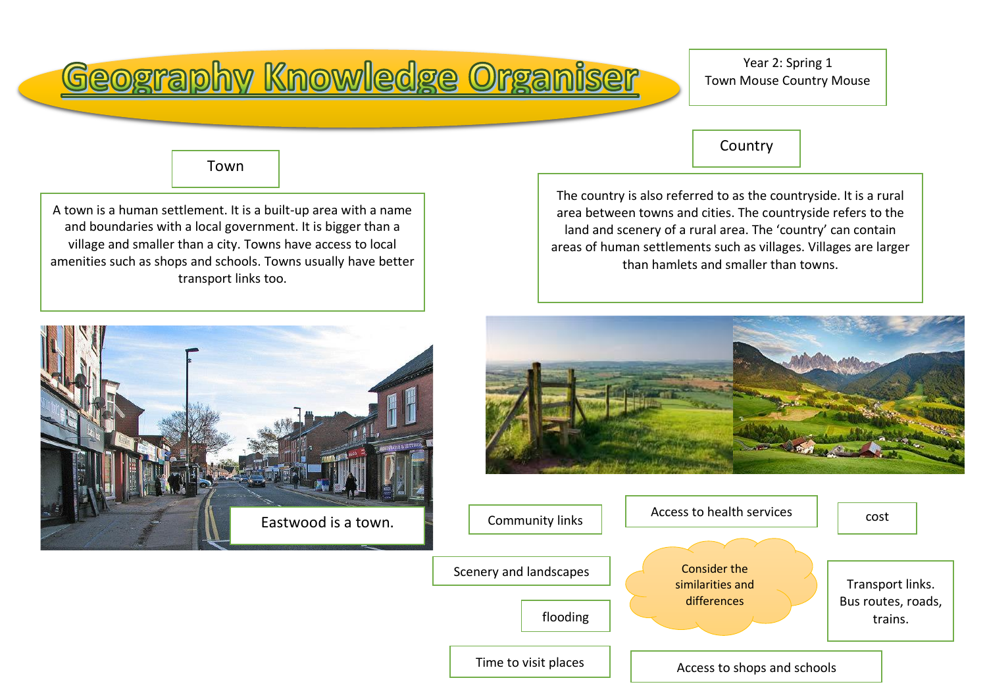